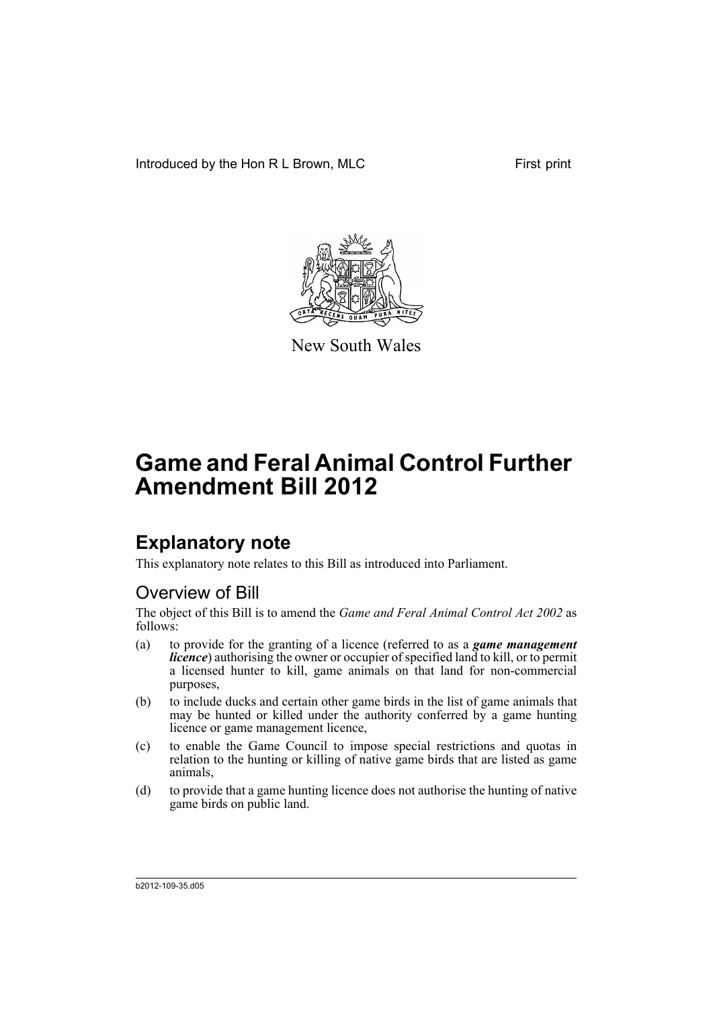Introduced by the Hon R L Brown, MLC First print



New South Wales

# **Game and Feral Animal Control Further Amendment Bill 2012**

## **Explanatory note**

This explanatory note relates to this Bill as introduced into Parliament.

## Overview of Bill

The object of this Bill is to amend the *Game and Feral Animal Control Act 2002* as follows:

- (a) to provide for the granting of a licence (referred to as a *game management licence*) authorising the owner or occupier of specified land to kill, or to permit a licensed hunter to kill, game animals on that land for non-commercial purposes,
- (b) to include ducks and certain other game birds in the list of game animals that may be hunted or killed under the authority conferred by a game hunting licence or game management licence,
- (c) to enable the Game Council to impose special restrictions and quotas in relation to the hunting or killing of native game birds that are listed as game animals,
- (d) to provide that a game hunting licence does not authorise the hunting of native game birds on public land.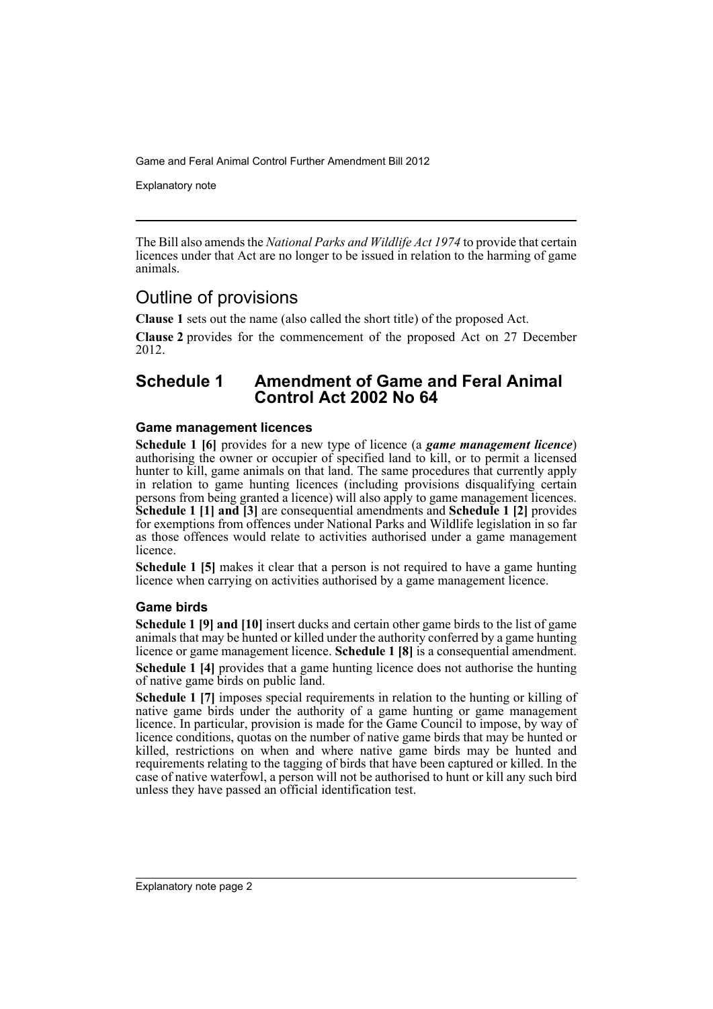Explanatory note

The Bill also amends the *National Parks and Wildlife Act 1974* to provide that certain licences under that Act are no longer to be issued in relation to the harming of game animals.

## Outline of provisions

**Clause 1** sets out the name (also called the short title) of the proposed Act.

**Clause 2** provides for the commencement of the proposed Act on 27 December 2012.

### **Schedule 1 Amendment of Game and Feral Animal Control Act 2002 No 64**

#### **Game management licences**

**Schedule 1 [6]** provides for a new type of licence (a *game management licence*) authorising the owner or occupier of specified land to kill, or to permit a licensed hunter to kill, game animals on that land. The same procedures that currently apply in relation to game hunting licences (including provisions disqualifying certain persons from being granted a licence) will also apply to game management licences. **Schedule 1 [1] and [3]** are consequential amendments and **Schedule 1 [2]** provides for exemptions from offences under National Parks and Wildlife legislation in so far as those offences would relate to activities authorised under a game management licence.

**Schedule 1 [5]** makes it clear that a person is not required to have a game hunting licence when carrying on activities authorised by a game management licence.

#### **Game birds**

**Schedule 1 [9] and [10]** insert ducks and certain other game birds to the list of game animals that may be hunted or killed under the authority conferred by a game hunting licence or game management licence. **Schedule 1 [8]** is a consequential amendment.

**Schedule 1 [4]** provides that a game hunting licence does not authorise the hunting of native game birds on public land.

**Schedule 1 [7]** imposes special requirements in relation to the hunting or killing of native game birds under the authority of a game hunting or game management licence. In particular, provision is made for the Game Council to impose, by way of licence conditions, quotas on the number of native game birds that may be hunted or killed, restrictions on when and where native game birds may be hunted and requirements relating to the tagging of birds that have been captured or killed. In the case of native waterfowl, a person will not be authorised to hunt or kill any such bird unless they have passed an official identification test.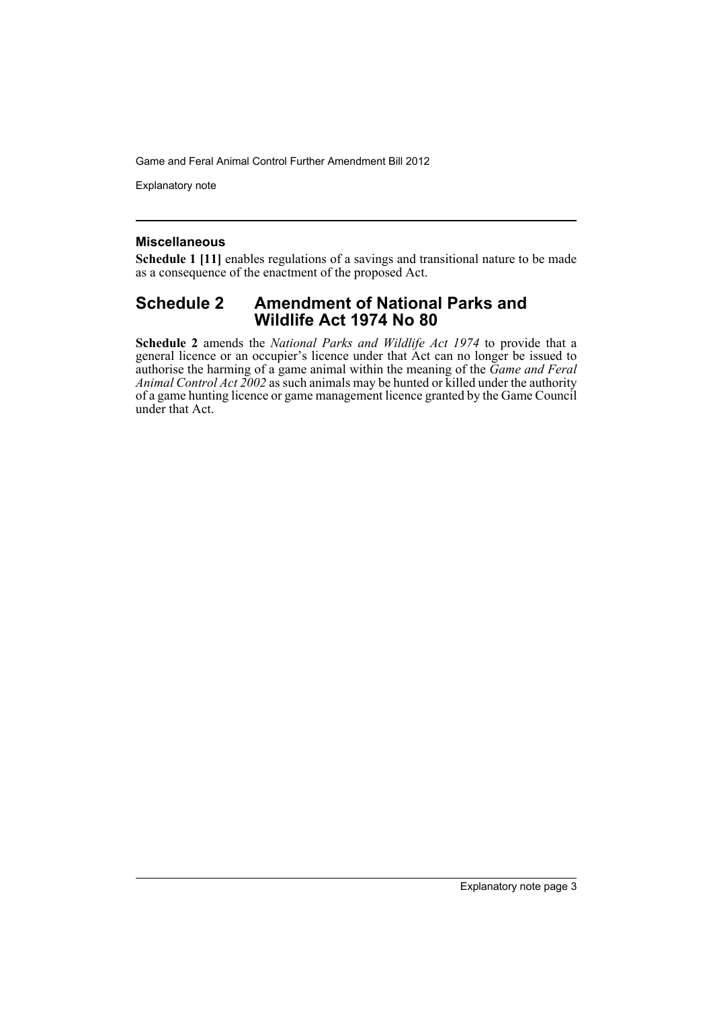Explanatory note

#### **Miscellaneous**

**Schedule 1 [11]** enables regulations of a savings and transitional nature to be made as a consequence of the enactment of the proposed Act.

### **Schedule 2 Amendment of National Parks and Wildlife Act 1974 No 80**

**Schedule 2** amends the *National Parks and Wildlife Act 1974* to provide that a general licence or an occupier's licence under that Act can no longer be issued to authorise the harming of a game animal within the meaning of the *Game and Feral Animal Control Act 2002* as such animals may be hunted or killed under the authority of a game hunting licence or game management licence granted by the Game Council under that Act.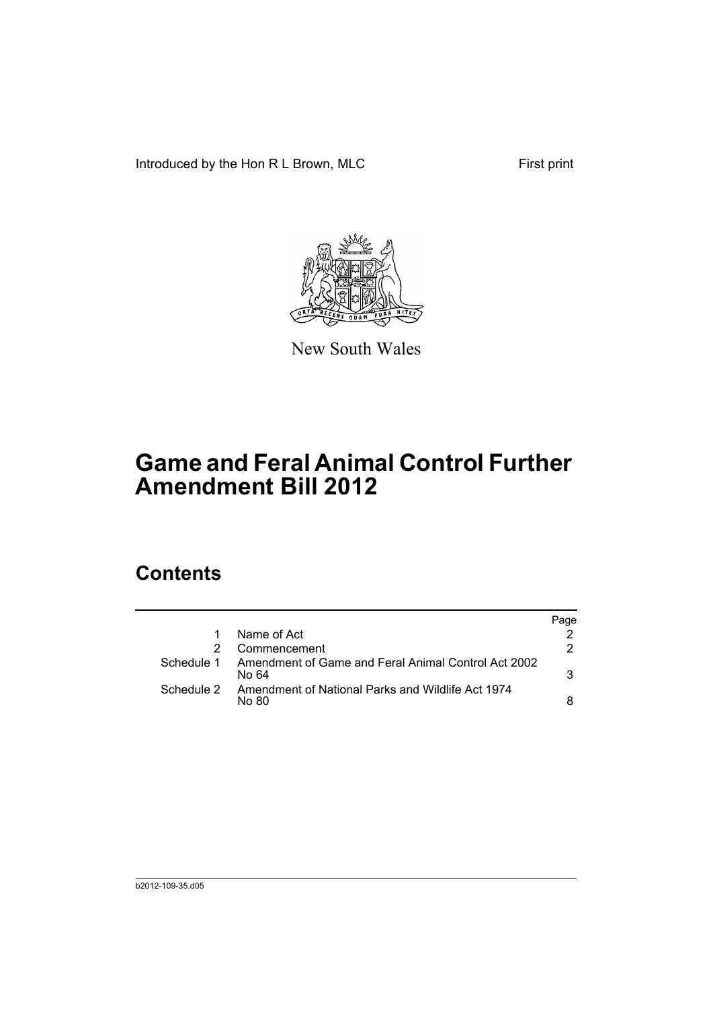Introduced by the Hon R L Brown, MLC First print



New South Wales

# **Game and Feral Animal Control Further Amendment Bill 2012**

## **Contents**

|            |                                                              | Page |
|------------|--------------------------------------------------------------|------|
|            | Name of Act                                                  |      |
|            | Commencement                                                 | 2.   |
| Schedule 1 | Amendment of Game and Feral Animal Control Act 2002<br>No 64 | 3    |
| Schedule 2 | Amendment of National Parks and Wildlife Act 1974<br>No 80   | 8    |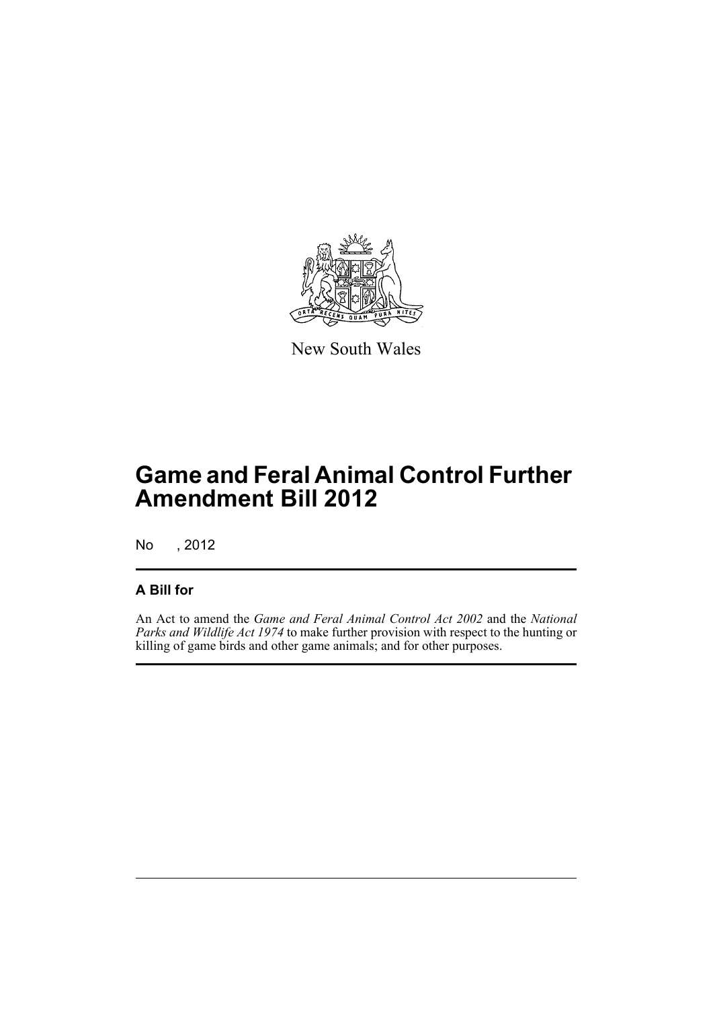

New South Wales

# **Game and Feral Animal Control Further Amendment Bill 2012**

No , 2012

### **A Bill for**

An Act to amend the *Game and Feral Animal Control Act 2002* and the *National Parks and Wildlife Act 1974* to make further provision with respect to the hunting or killing of game birds and other game animals; and for other purposes.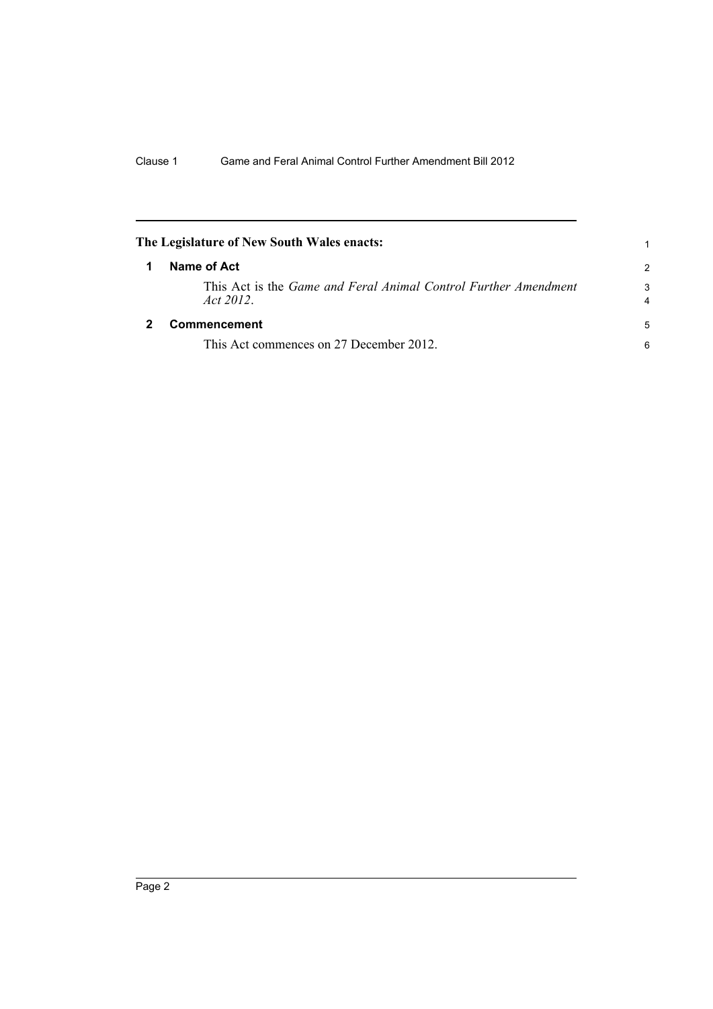<span id="page-7-1"></span><span id="page-7-0"></span>

|   | The Legislature of New South Wales enacts:                                  |        |
|---|-----------------------------------------------------------------------------|--------|
| 1 | Name of Act                                                                 |        |
|   | This Act is the Game and Feral Animal Control Further Amendment<br>Act 2012 | 3<br>4 |
|   | Commencement                                                                | 5      |
|   | This Act commences on 27 December 2012.                                     | 6      |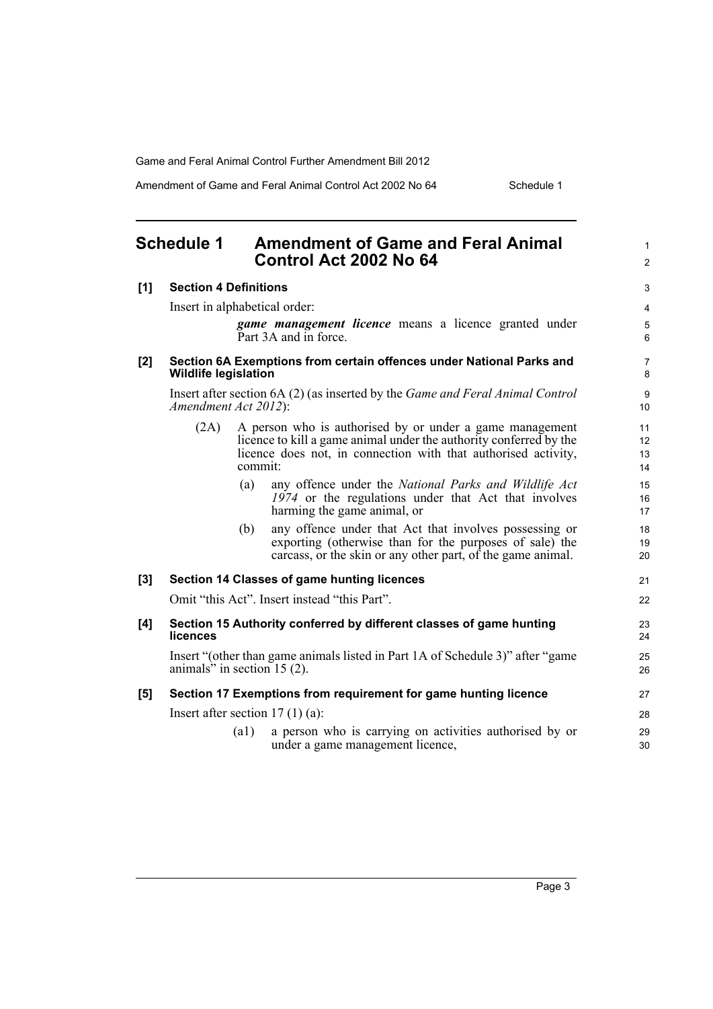Amendment of Game and Feral Animal Control Act 2002 No 64 Schedule 1

<span id="page-8-0"></span>

| <b>Schedule 1</b> |                                                                                                                 | <b>Amendment of Game and Feral Animal</b><br>Control Act 2002 No 64 |                                                                                                                                                                                                  | $\mathbf{1}$<br>$\overline{2}$ |
|-------------------|-----------------------------------------------------------------------------------------------------------------|---------------------------------------------------------------------|--------------------------------------------------------------------------------------------------------------------------------------------------------------------------------------------------|--------------------------------|
| [1]               | <b>Section 4 Definitions</b>                                                                                    |                                                                     | $\mathfrak{S}$                                                                                                                                                                                   |                                |
|                   | Insert in alphabetical order:                                                                                   |                                                                     |                                                                                                                                                                                                  | $\overline{4}$                 |
|                   |                                                                                                                 |                                                                     | <b>game management licence</b> means a licence granted under<br>Part 3A and in force.                                                                                                            | $\mathbf 5$<br>6               |
| [2]               | Section 6A Exemptions from certain offences under National Parks and<br><b>Wildlife legislation</b>             |                                                                     | $\overline{7}$<br>8                                                                                                                                                                              |                                |
|                   | Amendment Act 2012):                                                                                            |                                                                     | Insert after section 6A (2) (as inserted by the <i>Game and Feral Animal Control</i>                                                                                                             | $\boldsymbol{9}$<br>10         |
|                   | (2A)                                                                                                            | commit:                                                             | A person who is authorised by or under a game management<br>licence to kill a game animal under the authority conferred by the<br>licence does not, in connection with that authorised activity, | 11<br>12<br>13<br>14           |
|                   |                                                                                                                 | (a)                                                                 | any offence under the National Parks and Wildlife Act<br>1974 or the regulations under that Act that involves<br>harming the game animal, or                                                     | 15<br>16<br>17                 |
|                   |                                                                                                                 | (b)                                                                 | any offence under that Act that involves possessing or<br>exporting (otherwise than for the purposes of sale) the<br>carcass, or the skin or any other part, of the game animal.                 | 18<br>19<br>20                 |
| [3]               |                                                                                                                 |                                                                     | Section 14 Classes of game hunting licences                                                                                                                                                      | 21                             |
|                   |                                                                                                                 |                                                                     | Omit "this Act". Insert instead "this Part".                                                                                                                                                     | 22                             |
| [4]               | Section 15 Authority conferred by different classes of game hunting<br>licences                                 |                                                                     | 23<br>24                                                                                                                                                                                         |                                |
|                   | Insert "(other than game animals listed in Part 1A of Schedule 3)" after "game<br>animals" in section $15(2)$ . |                                                                     |                                                                                                                                                                                                  | 25<br>26                       |
| [5]               |                                                                                                                 |                                                                     | Section 17 Exemptions from requirement for game hunting licence                                                                                                                                  | 27                             |
|                   |                                                                                                                 |                                                                     | Insert after section $17(1)(a)$ :                                                                                                                                                                | 28                             |
|                   |                                                                                                                 | $\left( a1\right)$                                                  | a person who is carrying on activities authorised by or<br>under a game management licence,                                                                                                      | 29<br>30                       |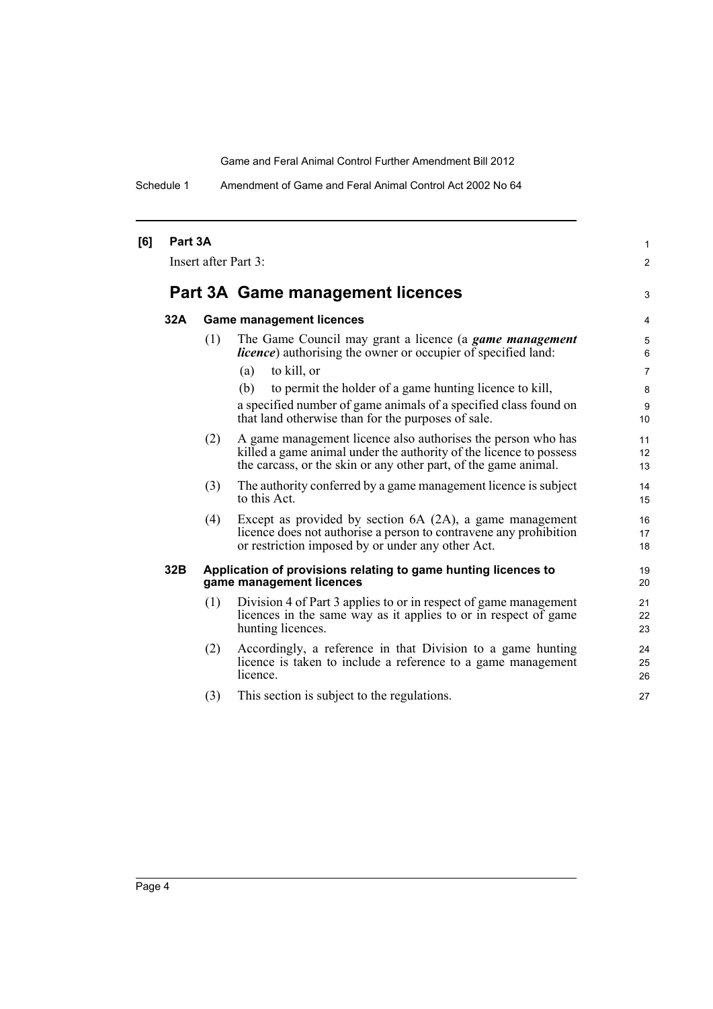Schedule 1 Amendment of Game and Feral Animal Control Act 2002 No 64

|                      |     |                                                                                                                                                                                                       | $\mathbf{1}$                                                                                                                                                      |  |
|----------------------|-----|-------------------------------------------------------------------------------------------------------------------------------------------------------------------------------------------------------|-------------------------------------------------------------------------------------------------------------------------------------------------------------------|--|
| Insert after Part 3: |     |                                                                                                                                                                                                       |                                                                                                                                                                   |  |
|                      |     |                                                                                                                                                                                                       | 3                                                                                                                                                                 |  |
| 32A                  |     |                                                                                                                                                                                                       | 4                                                                                                                                                                 |  |
|                      | (1) | The Game Council may grant a licence (a game management<br><i>licence</i> ) authorising the owner or occupier of specified land:                                                                      | 5<br>6                                                                                                                                                            |  |
|                      |     | to kill, or<br>(a)                                                                                                                                                                                    | $\overline{7}$                                                                                                                                                    |  |
|                      |     | (b)<br>to permit the holder of a game hunting licence to kill,                                                                                                                                        | 8                                                                                                                                                                 |  |
|                      |     | a specified number of game animals of a specified class found on<br>that land otherwise than for the purposes of sale.                                                                                | $\boldsymbol{9}$<br>10                                                                                                                                            |  |
|                      | (2) | A game management licence also authorises the person who has<br>killed a game animal under the authority of the licence to possess<br>the carcass, or the skin or any other part, of the game animal. | 11<br>12<br>13                                                                                                                                                    |  |
|                      | (3) | The authority conferred by a game management licence is subject<br>to this Act.                                                                                                                       | 14<br>15                                                                                                                                                          |  |
|                      | (4) | Except as provided by section 6A (2A), a game management<br>licence does not authorise a person to contravene any prohibition<br>or restriction imposed by or under any other Act.                    | 16<br>17<br>18                                                                                                                                                    |  |
| 32B                  |     |                                                                                                                                                                                                       | 19<br>20                                                                                                                                                          |  |
|                      | (1) | Division 4 of Part 3 applies to or in respect of game management<br>licences in the same way as it applies to or in respect of game<br>hunting licences.                                              | 21<br>22<br>23                                                                                                                                                    |  |
|                      | (2) | Accordingly, a reference in that Division to a game hunting<br>licence is taken to include a reference to a game management<br>licence.                                                               | 24<br>25<br>26                                                                                                                                                    |  |
|                      | (3) | This section is subject to the regulations.                                                                                                                                                           | 27                                                                                                                                                                |  |
|                      |     | Part 3A                                                                                                                                                                                               | Part 3A Game management licences<br><b>Game management licences</b><br>Application of provisions relating to game hunting licences to<br>game management licences |  |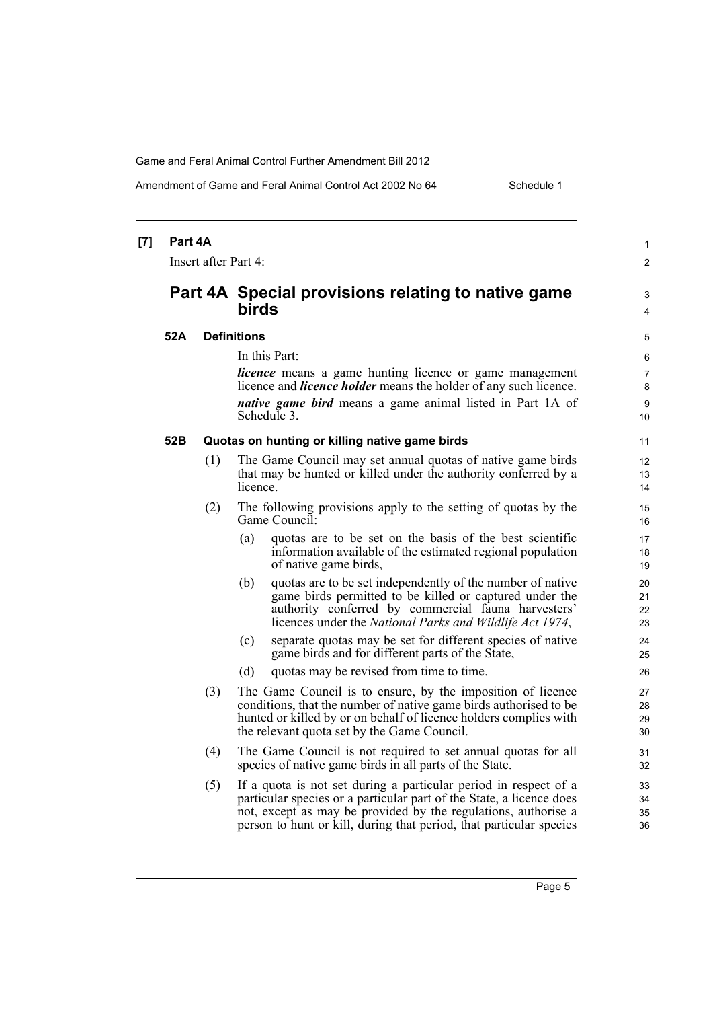Amendment of Game and Feral Animal Control Act 2002 No 64 Schedule 1

| [7] | Part 4A<br>Insert after Part 4: |     |                                                                                                                                                                                                                                                                                   |                                     |
|-----|---------------------------------|-----|-----------------------------------------------------------------------------------------------------------------------------------------------------------------------------------------------------------------------------------------------------------------------------------|-------------------------------------|
|     |                                 |     | Part 4A Special provisions relating to native game<br><b>birds</b>                                                                                                                                                                                                                | 3<br>4                              |
|     | 52A                             |     | <b>Definitions</b>                                                                                                                                                                                                                                                                | 5                                   |
|     |                                 |     | In this Part:<br><i>licence</i> means a game hunting licence or game management<br>licence and <i>licence holder</i> means the holder of any such licence.<br><i>native game bird</i> means a game animal listed in Part 1A of<br>Schedule 3.                                     | 6<br>$\overline{7}$<br>8<br>9<br>10 |
|     | 52B                             |     | Quotas on hunting or killing native game birds                                                                                                                                                                                                                                    | 11                                  |
|     |                                 | (1) | The Game Council may set annual quotas of native game birds<br>that may be hunted or killed under the authority conferred by a<br>licence.                                                                                                                                        | 12<br>13<br>14                      |
|     |                                 | (2) | The following provisions apply to the setting of quotas by the<br>Game Council:                                                                                                                                                                                                   | 15<br>16                            |
|     |                                 |     | quotas are to be set on the basis of the best scientific<br>(a)<br>information available of the estimated regional population<br>of native game birds,                                                                                                                            | 17<br>18<br>19                      |
|     |                                 |     | (b)<br>quotas are to be set independently of the number of native<br>game birds permitted to be killed or captured under the<br>authority conferred by commercial fauna harvesters'<br>licences under the National Parks and Wildlife Act 1974,                                   | 20<br>21<br>22<br>23                |
|     |                                 |     | separate quotas may be set for different species of native<br>(c)<br>game birds and for different parts of the State,                                                                                                                                                             | 24<br>25                            |
|     |                                 |     | quotas may be revised from time to time.<br>(d)                                                                                                                                                                                                                                   | 26                                  |
|     |                                 | (3) | The Game Council is to ensure, by the imposition of licence<br>conditions, that the number of native game birds authorised to be<br>hunted or killed by or on behalf of licence holders complies with<br>the relevant quota set by the Game Council.                              | 27<br>28<br>29<br>30                |
|     |                                 | (4) | The Game Council is not required to set annual quotas for all<br>species of native game birds in all parts of the State.                                                                                                                                                          | 31<br>32                            |
|     |                                 | (5) | If a quota is not set during a particular period in respect of a<br>particular species or a particular part of the State, a licence does<br>not, except as may be provided by the regulations, authorise a<br>person to hunt or kill, during that period, that particular species | 33<br>34<br>35<br>36                |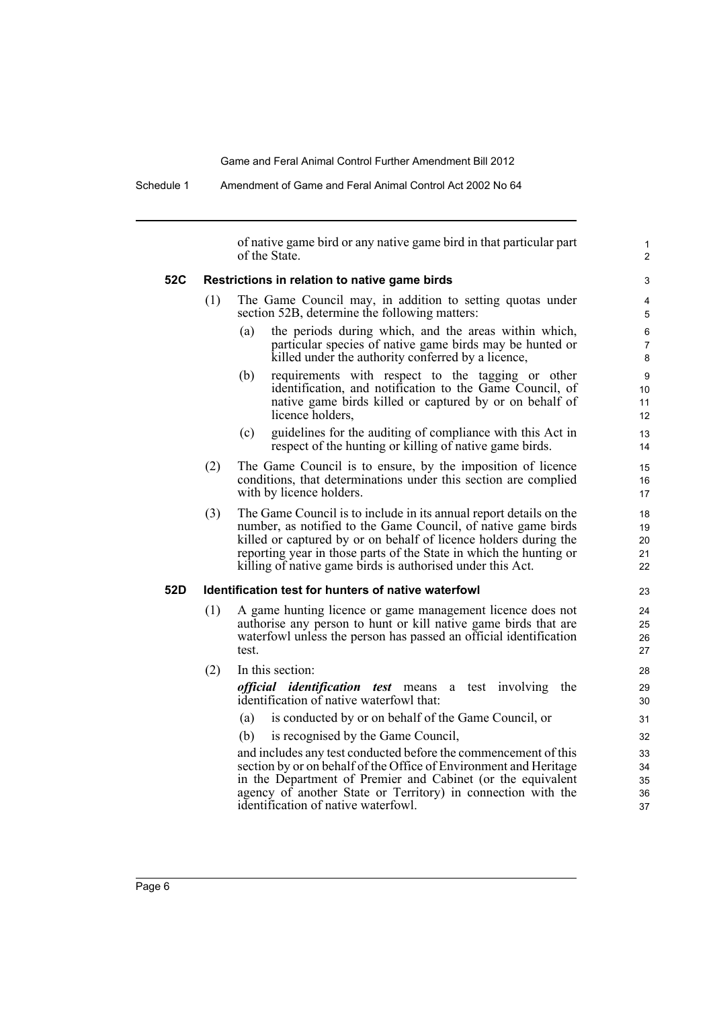Schedule 1 Amendment of Game and Feral Animal Control Act 2002 No 64

of native game bird or any native game bird in that particular part of the State. **52C Restrictions in relation to native game birds** (1) The Game Council may, in addition to setting quotas under section 52B, determine the following matters: (a) the periods during which, and the areas within which, particular species of native game birds may be hunted or killed under the authority conferred by a licence, (b) requirements with respect to the tagging or other identification, and notification to the Game Council, of native game birds killed or captured by or on behalf of licence holders, (c) guidelines for the auditing of compliance with this Act in respect of the hunting or killing of native game birds. (2) The Game Council is to ensure, by the imposition of licence conditions, that determinations under this section are complied with by licence holders. (3) The Game Council is to include in its annual report details on the number, as notified to the Game Council, of native game birds killed or captured by or on behalf of licence holders during the reporting year in those parts of the State in which the hunting or killing of native game birds is authorised under this Act. **52D Identification test for hunters of native waterfowl** (1) A game hunting licence or game management licence does not authorise any person to hunt or kill native game birds that are waterfowl unless the person has passed an official identification test. (2) In this section: *official identification test* means a test involving the identification of native waterfowl that: (a) is conducted by or on behalf of the Game Council, or (b) is recognised by the Game Council, and includes any test conducted before the commencement of this section by or on behalf of the Office of Environment and Heritage in the Department of Premier and Cabinet (or the equivalent agency of another State or Territory) in connection with the identification of native waterfowl. 1  $\overline{2}$ 3 4 5 6 7 8 9 10 11 12 13 14 15 16 17 18 19  $20$ 21 22 23 24 25 26 27 28 29 30 31 32 33 34 35 36 37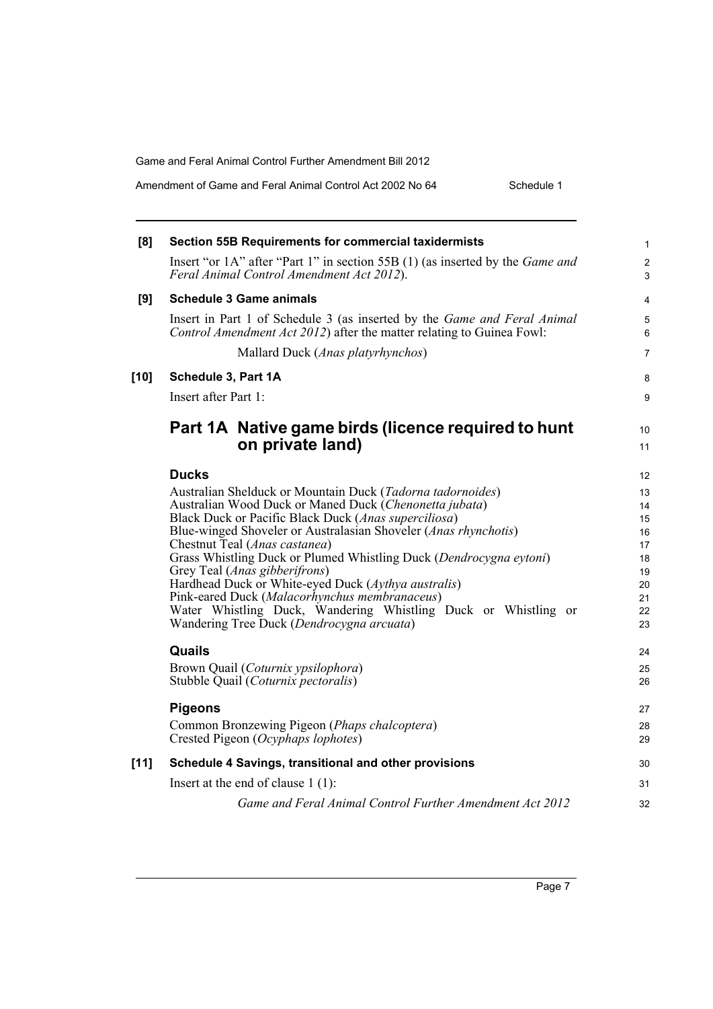| Amendment of Game and Feral Animal Control Act 2002 No 64 |  |
|-----------------------------------------------------------|--|
|-----------------------------------------------------------|--|

Schedule 1

| [8]    | <b>Section 55B Requirements for commercial taxidermists</b>                                                                                              | 1                   |
|--------|----------------------------------------------------------------------------------------------------------------------------------------------------------|---------------------|
|        | Insert "or 1A" after "Part 1" in section 55B (1) (as inserted by the <i>Game and</i><br>Feral Animal Control Amendment Act 2012).                        | $\overline{2}$<br>3 |
| [9]    | <b>Schedule 3 Game animals</b>                                                                                                                           | 4                   |
|        | Insert in Part 1 of Schedule 3 (as inserted by the <i>Game and Feral Animal</i><br>Control Amendment Act 2012) after the matter relating to Guinea Fowl: | 5<br>6              |
|        | Mallard Duck (Anas platyrhynchos)                                                                                                                        | $\overline{7}$      |
| $[10]$ | Schedule 3, Part 1A                                                                                                                                      | 8                   |
|        | Insert after Part 1:                                                                                                                                     | 9                   |
|        | Part 1A Native game birds (licence required to hunt<br>on private land)                                                                                  | 10                  |
|        |                                                                                                                                                          | 11                  |
|        | <b>Ducks</b>                                                                                                                                             | 12                  |
|        | Australian Shelduck or Mountain Duck (Tadorna tadornoides)<br>Australian Wood Duck or Maned Duck (Chenonetta jubata)                                     | 13<br>14            |
|        | Black Duck or Pacific Black Duck (Anas superciliosa)                                                                                                     | 15                  |
|        | Blue-winged Shoveler or Australasian Shoveler (Anas rhynchotis)                                                                                          | 16                  |
|        | Chestnut Teal (Anas castanea)                                                                                                                            | 17                  |
|        | Grass Whistling Duck or Plumed Whistling Duck (Dendrocygna eytoni)<br>Grey Teal ( <i>Anas gibberifrons</i> )                                             | 18<br>19            |
|        | Hardhead Duck or White-eyed Duck (Aythya australis)                                                                                                      | 20                  |
|        | Pink-eared Duck (Malacorhynchus membranaceus)                                                                                                            | 21                  |
|        | Water Whistling Duck, Wandering Whistling Duck or Whistling or<br>Wandering Tree Duck (Dendrocygna arcuata)                                              | 22<br>23            |
|        | Quails                                                                                                                                                   | 24                  |
|        | Brown Quail (Coturnix ypsilophora)<br>Stubble Quail (Coturnix pectoralis)                                                                                | 25<br>26            |
|        | <b>Pigeons</b>                                                                                                                                           | 27                  |
|        | Common Bronzewing Pigeon (Phaps chalcoptera)<br>Crested Pigeon (Ocyphaps lophotes)                                                                       | 28<br>29            |
| [11]   | Schedule 4 Savings, transitional and other provisions                                                                                                    | 30                  |
|        | Insert at the end of clause $1(1)$ :                                                                                                                     | 31                  |
|        | Game and Feral Animal Control Further Amendment Act 2012                                                                                                 | 32                  |